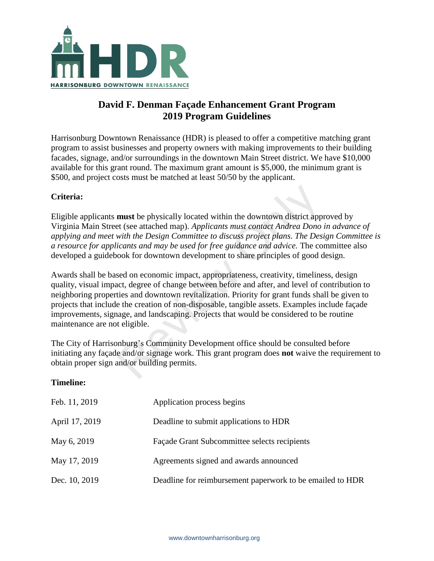

## **David F. Denman Façade Enhancement Grant Program 2019 Program Guidelines**

Harrisonburg Downtown Renaissance (HDR) is pleased to offer a competitive matching grant program to assist businesses and property owners with making improvements to their building facades, signage, and/or surroundings in the downtown Main Street district. We have \$10,000 available for this grant round. The maximum grant amount is \$5,000, the minimum grant is \$500, and project costs must be matched at least 50/50 by the applicant.

### **Criteria:**

Eligible applicants **must** be physically located within the downtown district approved by Virginia Main Street (see attached map). *Applicants must contact Andrea Dono in advance of applying and meet with the Design Committee to discuss project plans. The Design Committee is a resource for applicants and may be used for free guidance and advice.* The committee also developed a guidebook for downtown development to share principles of good design.

Awards shall be based on economic impact, appropriateness, creativity, timeliness, design quality, visual impact, degree of change between before and after, and level of contribution to neighboring properties and downtown revitalization. Priority for grant funds shall be given to projects that include the creation of non-disposable, tangible assets. Examples include façade improvements, signage, and landscaping. Projects that would be considered to be routine maintenance are not eligible. **must** be physically located within the downtown district appet (see attached map). Applicants must contact Andrea Dono with the Design Committee to discuss project plans. The Desicants and may be used for free guidance an

The City of Harrisonburg's Community Development office should be consulted before initiating any façade and/or signage work. This grant program does **not** waive the requirement to obtain proper sign and/or building permits.

### **Timeline:**

| Feb. 11, 2019  | Application process begins                                |
|----------------|-----------------------------------------------------------|
| April 17, 2019 | Deadline to submit applications to HDR                    |
| May 6, 2019    | Façade Grant Subcommittee selects recipients              |
| May 17, 2019   | Agreements signed and awards announced                    |
| Dec. 10, 2019  | Deadline for reimbursement paperwork to be emailed to HDR |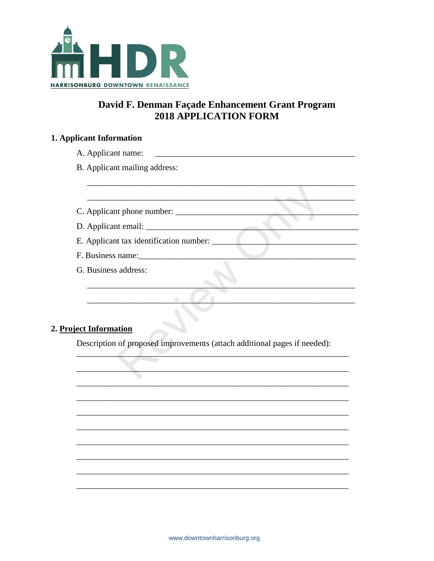

# David F. Denman Façade Enhancement Grant Program **2018 APPLICATION FORM**

 $\overline{\phantom{0}}$ 

 $\overline{a}$ 

L.

 $\overline{\phantom{0}}$ 

## 1. Applicant Information

| B. Applicant mailing address:<br>F. Business name:<br>G. Business address:<br>2. Project Information<br>Description of proposed improvements (attach additional pages if needed): |  |  |  |
|-----------------------------------------------------------------------------------------------------------------------------------------------------------------------------------|--|--|--|
|                                                                                                                                                                                   |  |  |  |
|                                                                                                                                                                                   |  |  |  |
|                                                                                                                                                                                   |  |  |  |
|                                                                                                                                                                                   |  |  |  |
|                                                                                                                                                                                   |  |  |  |
|                                                                                                                                                                                   |  |  |  |
|                                                                                                                                                                                   |  |  |  |
|                                                                                                                                                                                   |  |  |  |
|                                                                                                                                                                                   |  |  |  |
|                                                                                                                                                                                   |  |  |  |
|                                                                                                                                                                                   |  |  |  |
|                                                                                                                                                                                   |  |  |  |
|                                                                                                                                                                                   |  |  |  |
|                                                                                                                                                                                   |  |  |  |
|                                                                                                                                                                                   |  |  |  |
|                                                                                                                                                                                   |  |  |  |
|                                                                                                                                                                                   |  |  |  |
|                                                                                                                                                                                   |  |  |  |
|                                                                                                                                                                                   |  |  |  |
|                                                                                                                                                                                   |  |  |  |
|                                                                                                                                                                                   |  |  |  |
|                                                                                                                                                                                   |  |  |  |
|                                                                                                                                                                                   |  |  |  |
|                                                                                                                                                                                   |  |  |  |
|                                                                                                                                                                                   |  |  |  |
|                                                                                                                                                                                   |  |  |  |
|                                                                                                                                                                                   |  |  |  |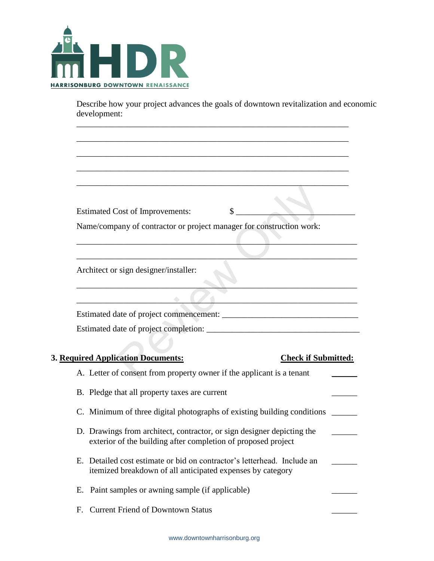

Describe how your project advances the goals of downtown revitalization and economic development:

\_\_\_\_\_\_\_\_\_\_\_\_\_\_\_\_\_\_\_\_\_\_\_\_\_\_\_\_\_\_\_\_\_\_\_\_\_\_\_\_\_\_\_\_\_\_\_\_\_\_\_\_\_\_\_\_\_\_\_\_\_\_\_\_

\_\_\_\_\_\_\_\_\_\_\_\_\_\_\_\_\_\_\_\_\_\_\_\_\_\_\_\_\_\_\_\_\_\_\_\_\_\_\_\_\_\_\_\_\_\_\_\_\_\_\_\_\_\_\_\_\_\_\_\_\_\_\_\_

\_\_\_\_\_\_\_\_\_\_\_\_\_\_\_\_\_\_\_\_\_\_\_\_\_\_\_\_\_\_\_\_\_\_\_\_\_\_\_\_\_\_\_\_\_\_\_\_\_\_\_\_\_\_\_\_\_\_\_\_\_\_\_\_

\_\_\_\_\_\_\_\_\_\_\_\_\_\_\_\_\_\_\_\_\_\_\_\_\_\_\_\_\_\_\_\_\_\_\_\_\_\_\_\_\_\_\_\_\_\_\_\_\_\_\_\_\_\_\_\_\_\_\_\_\_\_\_\_

\_\_\_\_\_\_\_\_\_\_\_\_\_\_\_\_\_\_\_\_\_\_\_\_\_\_\_\_\_\_\_\_\_\_\_\_\_\_\_\_\_\_\_\_\_\_\_\_\_\_\_\_\_\_\_\_\_\_\_\_\_\_\_\_

| <b>Estimated Cost of Improvements:</b><br>\$<br>Name/company of contractor or project manager for construction work:                    |  |
|-----------------------------------------------------------------------------------------------------------------------------------------|--|
| Architect or sign designer/installer:                                                                                                   |  |
|                                                                                                                                         |  |
|                                                                                                                                         |  |
| 3. Required Application Documents:<br><b>Check if Submitted:</b>                                                                        |  |
| A. Letter of consent from property owner if the applicant is a tenant<br>B. Pledge that all property taxes are current                  |  |
| C. Minimum of three digital photographs of existing building conditions                                                                 |  |
| D. Drawings from architect, contractor, or sign designer depicting the<br>exterior of the building after completion of proposed project |  |
| E. Detailed cost estimate or bid on contractor's letterhead. Include an<br>itemized breakdown of all anticipated expenses by category   |  |
|                                                                                                                                         |  |
| E. Paint samples or awning sample (if applicable)                                                                                       |  |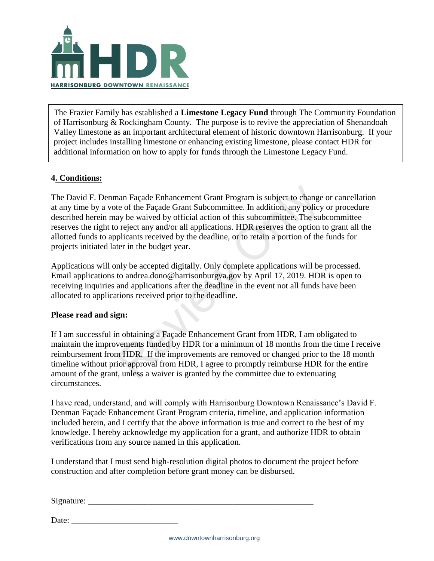

The Frazier Family has established a **Limestone Legacy Fund** through The Community Foundation of Harrisonburg & Rockingham County. The purpose is to revive the appreciation of Shenandoah Valley limestone as an important architectural element of historic downtown Harrisonburg. If your project includes installing limestone or enhancing existing limestone, please contact HDR for additional information on how to apply for funds through the Limestone Legacy Fund.

### **4. Conditions:**

The David F. Denman Façade Enhancement Grant Program is subject to change or cancellation at any time by a vote of the Façade Grant Subcommittee. In addition, any policy or procedure described herein may be waived by official action of this subcommittee. The subcommittee reserves the right to reject any and/or all applications. HDR reserves the option to grant all the allotted funds to applicants received by the deadline, or to retain a portion of the funds for projects initiated later in the budget year. nan Façade Enhancement Grant Program is subject to change<br>te of the Façade Grant Subcommittee. In addition, any policy<br>ay be waived by official action of this subcommittee. The sub-<br>reject any and/or all applications. HDR

Applications will only be accepted digitally. Only complete applications will be processed. Email applications to andrea.dono@harrisonburgva.gov by April 17, 2019. HDR is open to receiving inquiries and applications after the deadline in the event not all funds have been allocated to applications received prior to the deadline.

### **Please read and sign:**

If I am successful in obtaining a Façade Enhancement Grant from HDR, I am obligated to maintain the improvements funded by HDR for a minimum of 18 months from the time I receive reimbursement from HDR. If the improvements are removed or changed prior to the 18 month timeline without prior approval from HDR, I agree to promptly reimburse HDR for the entire amount of the grant, unless a waiver is granted by the committee due to extenuating circumstances.

I have read, understand, and will comply with Harrisonburg Downtown Renaissance's David F. Denman Façade Enhancement Grant Program criteria, timeline, and application information included herein, and I certify that the above information is true and correct to the best of my knowledge. I hereby acknowledge my application for a grant, and authorize HDR to obtain verifications from any source named in this application.

I understand that I must send high-resolution digital photos to document the project before construction and after completion before grant money can be disbursed.

 $Signature:$ 

Date: